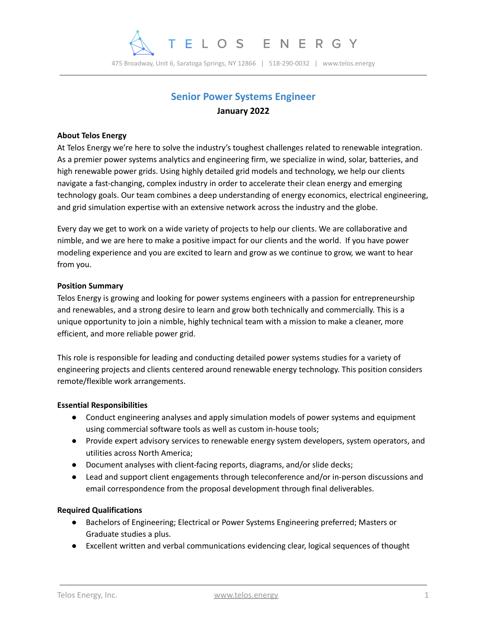

475 Broadway, Unit 6, Saratoga Springs, NY 12866 | 518-290-0032 | www.telos.energy

# **Senior Power Systems Engineer January 2022**

### **About Telos Energy**

At Telos Energy we're here to solve the industry's toughest challenges related to renewable integration. As a premier power systems analytics and engineering firm, we specialize in wind, solar, batteries, and high renewable power grids. Using highly detailed grid models and technology, we help our clients navigate a fast-changing, complex industry in order to accelerate their clean energy and emerging technology goals. Our team combines a deep understanding of energy economics, electrical engineering, and grid simulation expertise with an extensive network across the industry and the globe.

Every day we get to work on a wide variety of projects to help our clients. We are collaborative and nimble, and we are here to make a positive impact for our clients and the world. If you have power modeling experience and you are excited to learn and grow as we continue to grow, we want to hear from you.

#### **Position Summary**

Telos Energy is growing and looking for power systems engineers with a passion for entrepreneurship and renewables, and a strong desire to learn and grow both technically and commercially. This is a unique opportunity to join a nimble, highly technical team with a mission to make a cleaner, more efficient, and more reliable power grid.

This role is responsible for leading and conducting detailed power systems studies for a variety of engineering projects and clients centered around renewable energy technology. This position considers remote/flexible work arrangements.

#### **Essential Responsibilities**

- Conduct engineering analyses and apply simulation models of power systems and equipment using commercial software tools as well as custom in-house tools;
- Provide expert advisory services to renewable energy system developers, system operators, and utilities across North America;
- Document analyses with client-facing reports, diagrams, and/or slide decks;
- Lead and support client engagements through teleconference and/or in-person discussions and email correspondence from the proposal development through final deliverables.

## **Required Qualifications**

- Bachelors of Engineering; Electrical or Power Systems Engineering preferred; Masters or Graduate studies a plus.
- Excellent written and verbal communications evidencing clear, logical sequences of thought